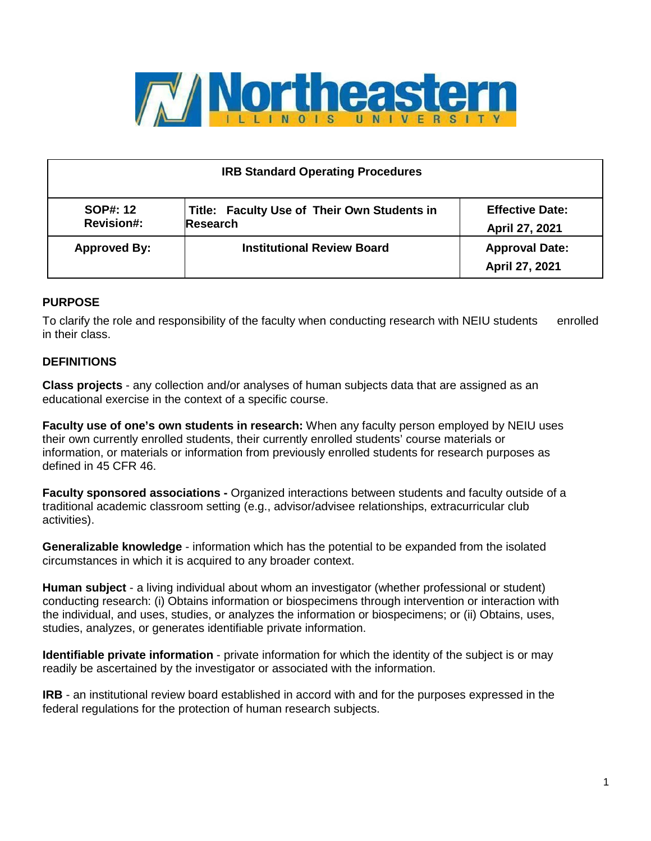

| <b>IRB Standard Operating Procedures</b> |                                                                |                                          |  |
|------------------------------------------|----------------------------------------------------------------|------------------------------------------|--|
| <b>SOP#: 12</b><br><b>Revision#:</b>     | Title: Faculty Use of Their Own Students in<br><b>Research</b> | <b>Effective Date:</b><br>April 27, 2021 |  |
| <b>Approved By:</b>                      | <b>Institutional Review Board</b>                              | <b>Approval Date:</b><br>April 27, 2021  |  |

### **PURPOSE**

To clarify the role and responsibility of the faculty when conducting research with NEIU students enrolled in their class.

## **DEFINITIONS**

**Class projects** - any collection and/or analyses of human subjects data that are assigned as an educational exercise in the context of a specific course.

**Faculty use of one's own students in research:** When any faculty person employed by NEIU uses their own currently enrolled students, their currently enrolled students' course materials or information, or materials or information from previously enrolled students for research purposes as defined in 45 CFR 46.

**Faculty sponsored associations -** Organized interactions between students and faculty outside of a traditional academic classroom setting (e.g., advisor/advisee relationships, extracurricular club activities).

**Generalizable knowledge** - information which has the potential to be expanded from the isolated circumstances in which it is acquired to any broader context.

**Human subject** - a living individual about whom an investigator (whether professional or student) conducting research: (i) Obtains information or biospecimens through intervention or interaction with the individual, and uses, studies, or analyzes the information or biospecimens; or (ii) Obtains, uses, studies, analyzes, or generates identifiable private information.

**Identifiable private information** - private information for which the identity of the subject is or may readily be ascertained by the investigator or associated with the information.

**IRB** - an institutional review board established in accord with and for the purposes expressed in the federal regulations for the protection of human research subjects.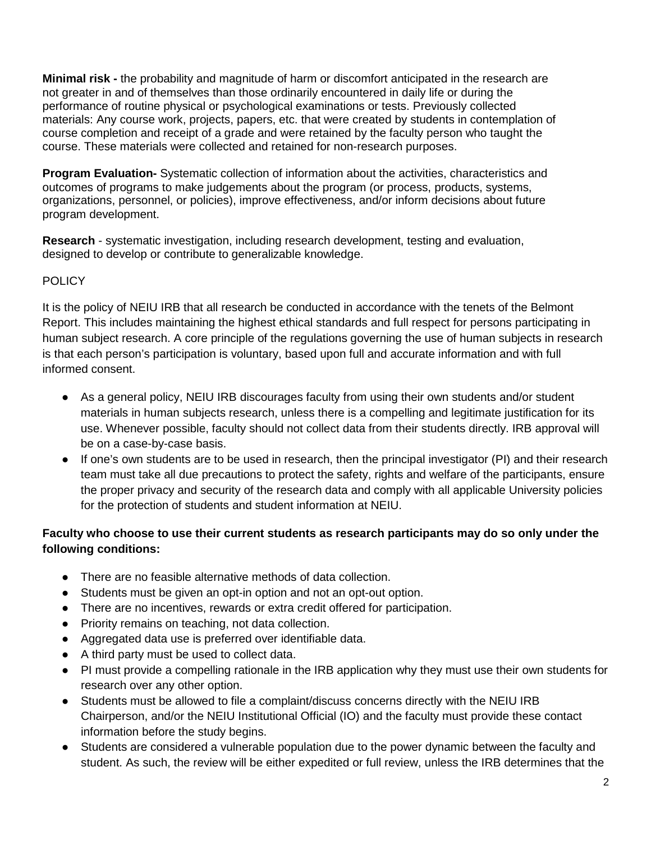**Minimal risk -** the probability and magnitude of harm or discomfort anticipated in the research are not greater in and of themselves than those ordinarily encountered in daily life or during the performance of routine physical or psychological examinations or tests. Previously collected materials: Any course work, projects, papers, etc. that were created by students in contemplation of course completion and receipt of a grade and were retained by the faculty person who taught the course. These materials were collected and retained for non-research purposes.

**Program Evaluation-** Systematic collection of information about the activities, characteristics and outcomes of programs to make judgements about the program (or process, products, systems, organizations, personnel, or policies), improve effectiveness, and/or inform decisions about future program development.

**Research** - systematic investigation, including research development, testing and evaluation, designed to develop or contribute to generalizable knowledge.

# **POLICY**

It is the policy of NEIU IRB that all research be conducted in accordance with the tenets of the Belmont Report. This includes maintaining the highest ethical standards and full respect for persons participating in human subject research. A core principle of the regulations governing the use of human subjects in research is that each person's participation is voluntary, based upon full and accurate information and with full informed consent.

- As a general policy, NEIU IRB discourages faculty from using their own students and/or student materials in human subjects research, unless there is a compelling and legitimate justification for its use. Whenever possible, faculty should not collect data from their students directly. IRB approval will be on a case-by-case basis.
- If one's own students are to be used in research, then the principal investigator (PI) and their research team must take all due precautions to protect the safety, rights and welfare of the participants, ensure the proper privacy and security of the research data and comply with all applicable University policies for the protection of students and student information at NEIU.

## **Faculty who choose to use their current students as research participants may do so only under the following conditions:**

- There are no feasible alternative methods of data collection.
- Students must be given an opt-in option and not an opt-out option.
- There are no incentives, rewards or extra credit offered for participation.
- Priority remains on teaching, not data collection.
- Aggregated data use is preferred over identifiable data.
- A third party must be used to collect data.
- PI must provide a compelling rationale in the IRB application why they must use their own students for research over any other option.
- Students must be allowed to file a complaint/discuss concerns directly with the NEIU IRB Chairperson, and/or the NEIU Institutional Official (IO) and the faculty must provide these contact information before the study begins.
- Students are considered a vulnerable population due to the power dynamic between the faculty and student. As such, the review will be either expedited or full review, unless the IRB determines that the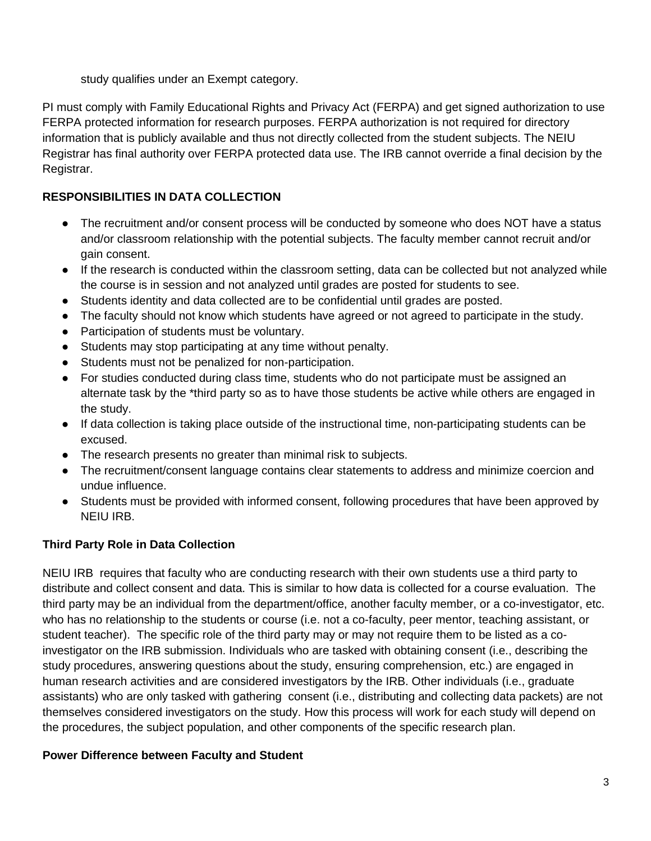study qualifies under an Exempt category.

PI must comply with Family Educational Rights and Privacy Act (FERPA) and get signed authorization to use FERPA protected information for research purposes. FERPA authorization is not required for directory information that is publicly available and thus not directly collected from the student subjects. The NEIU Registrar has final authority over FERPA protected data use. The IRB cannot override a final decision by the Registrar.

# **RESPONSIBILITIES IN DATA COLLECTION**

- The recruitment and/or consent process will be conducted by someone who does NOT have a status and/or classroom relationship with the potential subjects. The faculty member cannot recruit and/or gain consent.
- If the research is conducted within the classroom setting, data can be collected but not analyzed while the course is in session and not analyzed until grades are posted for students to see.
- Students identity and data collected are to be confidential until grades are posted.
- The faculty should not know which students have agreed or not agreed to participate in the study.
- Participation of students must be voluntary.
- Students may stop participating at any time without penalty.
- Students must not be penalized for non-participation.
- For studies conducted during class time, students who do not participate must be assigned an alternate task by the \*third party so as to have those students be active while others are engaged in the study.
- If data collection is taking place outside of the instructional time, non-participating students can be excused.
- The research presents no greater than minimal risk to subjects.
- The recruitment/consent language contains clear statements to address and minimize coercion and undue influence.
- Students must be provided with informed consent, following procedures that have been approved by NEIU IRB.

# **Third Party Role in Data Collection**

NEIU IRB requires that faculty who are conducting research with their own students use a third party to distribute and collect consent and data. This is similar to how data is collected for a course evaluation. The third party may be an individual from the department/office, another faculty member, or a co-investigator, etc. who has no relationship to the students or course (i.e. not a co-faculty, peer mentor, teaching assistant, or student teacher). The specific role of the third party may or may not require them to be listed as a coinvestigator on the IRB submission. Individuals who are tasked with obtaining consent (i.e., describing the study procedures, answering questions about the study, ensuring comprehension, etc.) are engaged in human research activities and are considered investigators by the IRB. Other individuals (i.e., graduate assistants) who are only tasked with gathering consent (i.e., distributing and collecting data packets) are not themselves considered investigators on the study. How this process will work for each study will depend on the procedures, the subject population, and other components of the specific research plan.

# **Power Difference between Faculty and Student**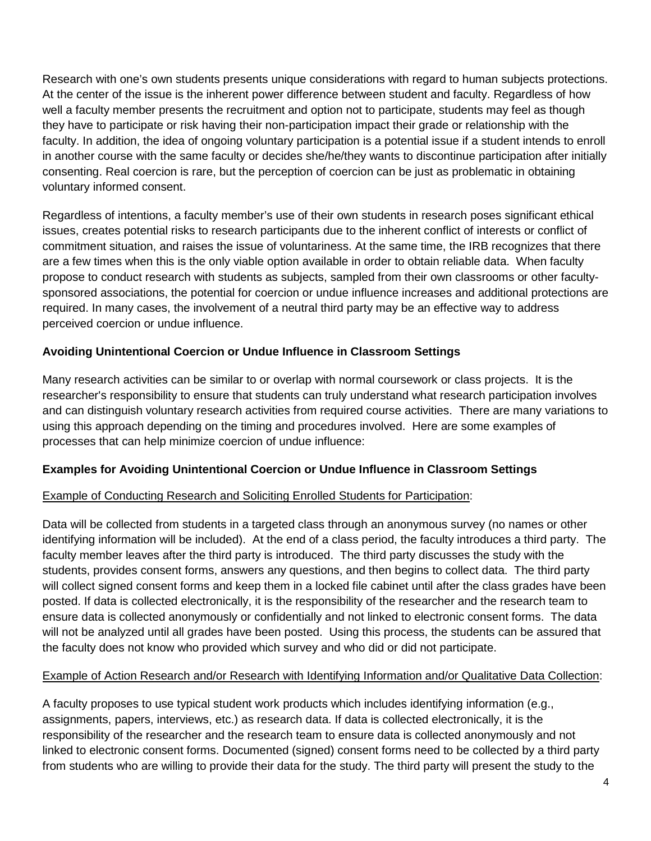Research with one's own students presents unique considerations with regard to human subjects protections. At the center of the issue is the inherent power difference between student and faculty. Regardless of how well a faculty member presents the recruitment and option not to participate, students may feel as though they have to participate or risk having their non-participation impact their grade or relationship with the faculty. In addition, the idea of ongoing voluntary participation is a potential issue if a student intends to enroll in another course with the same faculty or decides she/he/they wants to discontinue participation after initially consenting. Real coercion is rare, but the perception of coercion can be just as problematic in obtaining voluntary informed consent.

Regardless of intentions, a faculty member's use of their own students in research poses significant ethical issues, creates potential risks to research participants due to the inherent conflict of interests or conflict of commitment situation, and raises the issue of voluntariness. At the same time, the IRB recognizes that there are a few times when this is the only viable option available in order to obtain reliable data. When faculty propose to conduct research with students as subjects, sampled from their own classrooms or other facultysponsored associations, the potential for coercion or undue influence increases and additional protections are required. In many cases, the involvement of a neutral third party may be an effective way to address perceived coercion or undue influence.

## **Avoiding Unintentional Coercion or Undue Influence in Classroom Settings**

Many research activities can be similar to or overlap with normal coursework or class projects. It is the researcher's responsibility to ensure that students can truly understand what research participation involves and can distinguish voluntary research activities from required course activities. There are many variations to using this approach depending on the timing and procedures involved. Here are some examples of processes that can help minimize coercion of undue influence:

# **Examples for Avoiding Unintentional Coercion or Undue Influence in Classroom Settings**

### Example of Conducting Research and Soliciting Enrolled Students for Participation:

Data will be collected from students in a targeted class through an anonymous survey (no names or other identifying information will be included). At the end of a class period, the faculty introduces a third party. The faculty member leaves after the third party is introduced. The third party discusses the study with the students, provides consent forms, answers any questions, and then begins to collect data. The third party will collect signed consent forms and keep them in a locked file cabinet until after the class grades have been posted. If data is collected electronically, it is the responsibility of the researcher and the research team to ensure data is collected anonymously or confidentially and not linked to electronic consent forms. The data will not be analyzed until all grades have been posted. Using this process, the students can be assured that the faculty does not know who provided which survey and who did or did not participate.

### Example of Action Research and/or Research with Identifying Information and/or Qualitative Data Collection:

A faculty proposes to use typical student work products which includes identifying information (e.g., assignments, papers, interviews, etc.) as research data. If data is collected electronically, it is the responsibility of the researcher and the research team to ensure data is collected anonymously and not linked to electronic consent forms. Documented (signed) consent forms need to be collected by a third party from students who are willing to provide their data for the study. The third party will present the study to the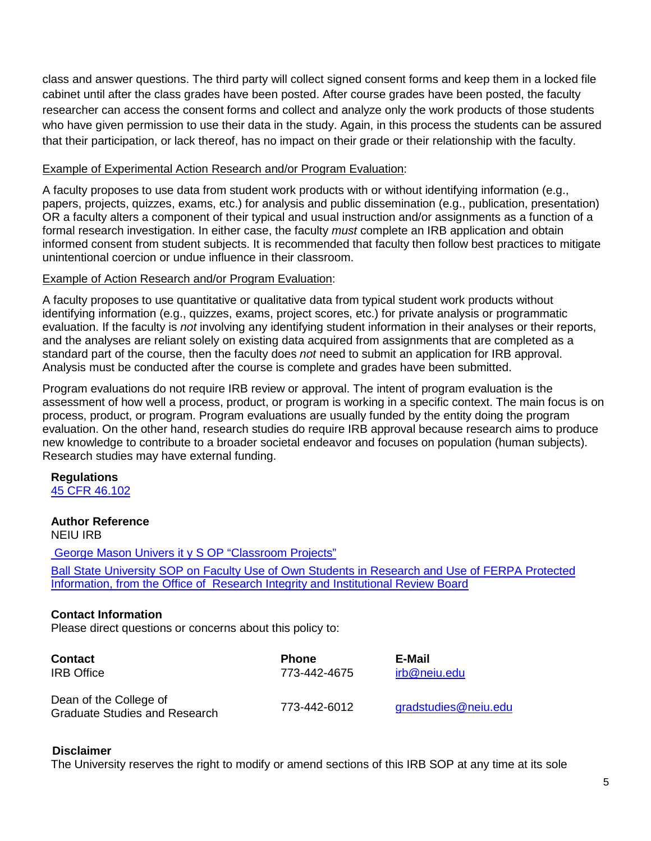class and answer questions. The third party will collect signed consent forms and keep them in a locked file cabinet until after the class grades have been posted. After course grades have been posted, the faculty researcher can access the consent forms and collect and analyze only the work products of those students who have given permission to use their data in the study. Again, in this process the students can be assured that their participation, or lack thereof, has no impact on their grade or their relationship with the faculty.

#### Example of Experimental Action Research and/or Program Evaluation:

A faculty proposes to use data from student work products with or without identifying information (e.g., papers, projects, quizzes, exams, etc.) for analysis and public dissemination (e.g., publication, presentation) OR a faculty alters a component of their typical and usual instruction and/or assignments as a function of a formal research investigation. In either case, the faculty *must* complete an IRB application and obtain informed consent from student subjects. It is recommended that faculty then follow best practices to mitigate unintentional coercion or undue influence in their classroom.

#### Example of Action Research and/or Program Evaluation:

A faculty proposes to use quantitative or qualitative data from typical student work products without identifying information (e.g., quizzes, exams, project scores, etc.) for private analysis or programmatic evaluation. If the faculty is *not* involving any identifying student information in their analyses or their reports, and the analyses are reliant solely on existing data acquired from assignments that are completed as a standard part of the course, then the faculty does *not* need to submit an application for IRB approval. Analysis must be conducted after the course is complete and grades have been submitted.

Program evaluations do not require IRB review or approval. The intent of program evaluation is the assessment of how well a process, product, or program is working in a specific context. The main focus is on process, product, or program. Program evaluations are usually funded by the entity doing the program evaluation. On the other hand, research studies do require IRB approval because research aims to produce new knowledge to contribute to a broader societal endeavor and focuses on population (human subjects). Research studies may have external funding.

**Regulations** [45 CFR 46.102](https://www.ecfr.gov/cgi-bin/retrieveECFR?gp&SID=83cd09e1c0f5c6937cd9d7513160fc3f&pitd=20180719&n=pt45.1.46&r=PART&ty=HTML&se45.1.46_1102)

# **Author Reference**

NEIU IRB

[George Mason Univers it y S OP "Classroom Projects"](https://rdia.gmu.edu/wp-content/uploads/SOP_1.3.5_Classroom-projects_v2.pdf)  [Ball State University SOP on Faculty Use of Own Students in Research and Use of FERPA Protected](https://www.bsu.edu/-/media/www/departmentalcontent/researchintegrity/files/policies/faculty%20use%20of%20own%20students%20in%20research%20and%20use%20of%20ferpa%20protected%20information.pdf?la=en&hash=40BDB48E332D3E06F72D9B94ED1EF219F72A0F80)  [Information, from the Office of Research Integrity and Institutional Review Board](https://www.bsu.edu/-/media/www/departmentalcontent/researchintegrity/files/policies/faculty%20use%20of%20own%20students%20in%20research%20and%20use%20of%20ferpa%20protected%20information.pdf?la=en&hash=40BDB48E332D3E06F72D9B94ED1EF219F72A0F80)

### **Contact Information**

Please direct questions or concerns about this policy to:

| <b>Contact</b>                                                 | <b>Phone</b> | E-Mail               |
|----------------------------------------------------------------|--------------|----------------------|
| <b>IRB</b> Office                                              | 773-442-4675 | irb@neiu.edu         |
| Dean of the College of<br><b>Graduate Studies and Research</b> | 773-442-6012 | gradstudies@neiu.edu |

### **Disclaimer**

The University reserves the right to modify or amend sections of this IRB SOP at any time at its sole